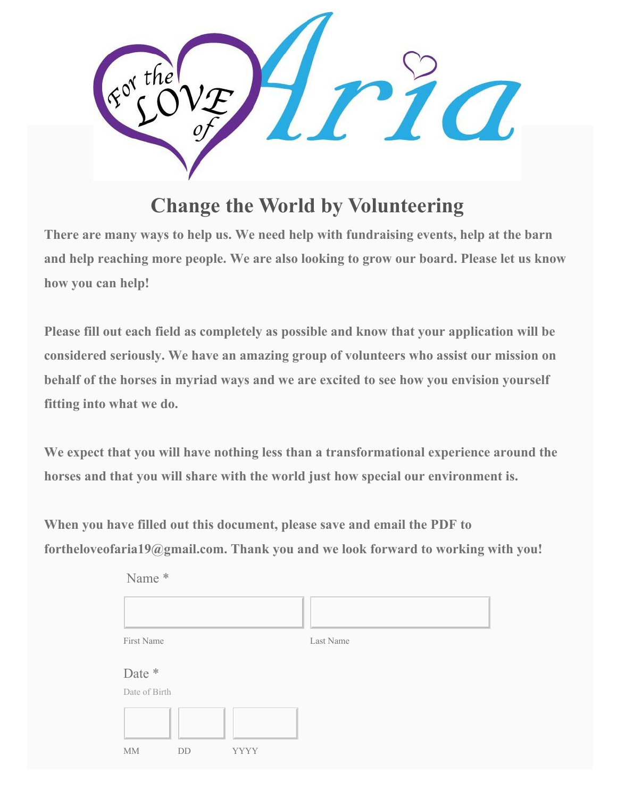

## **Change the World by Volunteering**

**There are many ways to help us. We need help with fundraising events, help at the barn and help reaching more people. We are also looking to grow our board. Please let us know how you can help!**

**Please fill out each field as completely as possible and know that your application will be considered seriously. We have an amazing group of volunteers who assist our mission on behalf of the horses in myriad ways and we are excited to see how you envision yourself fitting into what we do.**

**We expect that you will have nothing less than a transformational experience around the horses and that you will share with the world just how special our environment is.**

**When you have filled out this document, please save and email the PDF to fortheloveofaria19@gmail.com. Thank you and we look forward to working with you!**

| Name *                               |           |
|--------------------------------------|-----------|
|                                      |           |
| First Name                           | Last Name |
| Date *<br>Date of Birth              |           |
| $\rm MM$<br><b>YYYY</b><br><b>DD</b> |           |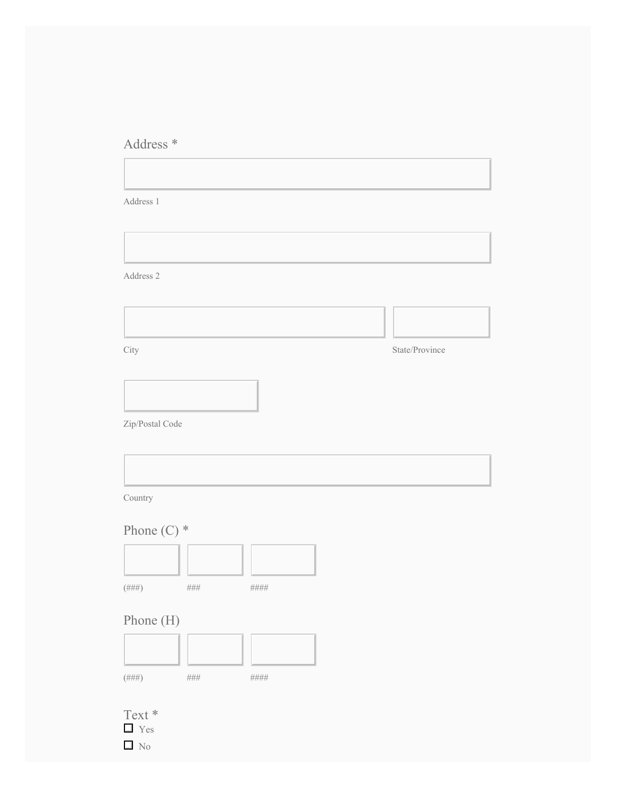## Address \*

 $\overline{a}$ 

| Address 2                                   | State/Province |
|---------------------------------------------|----------------|
|                                             |                |
|                                             |                |
|                                             |                |
| City                                        |                |
|                                             |                |
|                                             |                |
| Zip/Postal Code                             |                |
|                                             |                |
| $\operatorname{Country}$<br>Phone $(C)$ *   |                |
|                                             |                |
|                                             |                |
|                                             |                |
|                                             |                |
|                                             |                |
| $(\# \# \#)$<br>$\# \# \#$<br>$\# \# \# \#$ |                |
| Phone (H)                                   |                |
|                                             |                |
|                                             |                |
| $(\# \# \#)$<br>$\# \# \# \#$<br>$\# \# \#$ |                |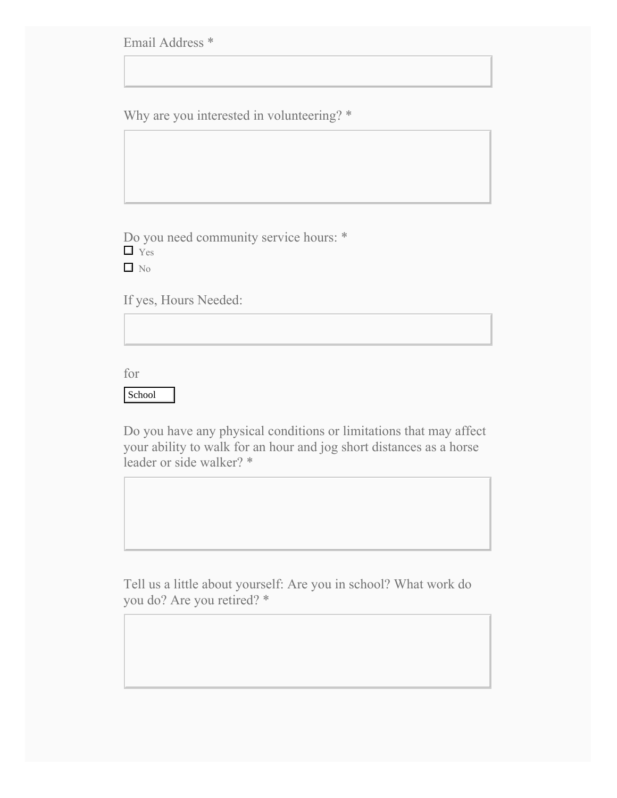Email Address \*

Why are you interested in volunteering? \*

Do you need community service hours: \* **T** Yes  $\Box$  No

If yes, Hours Needed:

for

## School

Do you have any physical conditions or limitations that may affect your ability to walk for an hour and jog short distances as a horse leader or side walker? \*

Tell us a little about yourself: Are you in school? What work do you do? Are you retired? \*